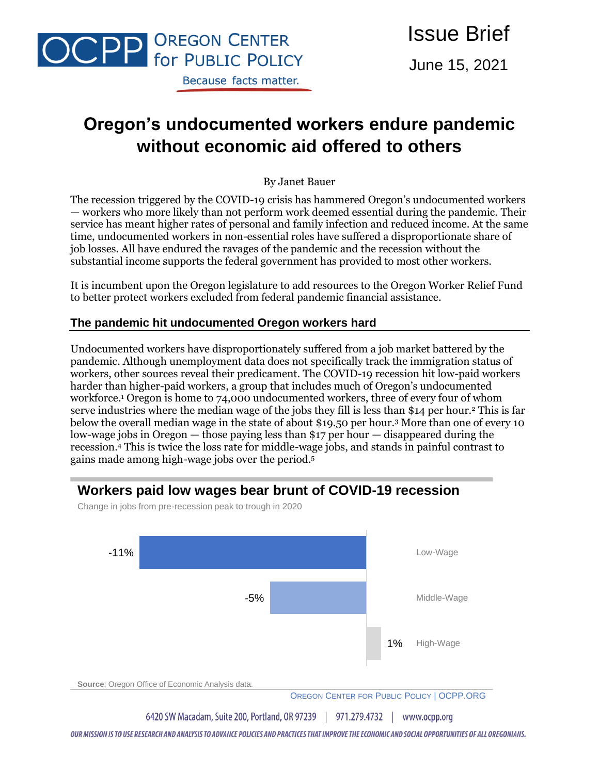

June 15, 2021

# **Oregon's undocumented workers endure pandemic without economic aid offered to others**

By Janet Bauer

The recession triggered by the COVID-19 crisis has hammered Oregon's undocumented workers — workers who more likely than not perform work deemed essential during the pandemic. Their service has meant higher rates of personal and family infection and reduced income. At the same time, undocumented workers in non-essential roles have suffered a disproportionate share of job losses. All have endured the ravages of the pandemic and the recession without the substantial income supports the federal government has provided to most other workers.

It is incumbent upon the Oregon legislature to add resources to the Oregon Worker Relief Fund to better protect workers excluded from federal pandemic financial assistance.

## **The pandemic hit undocumented Oregon workers hard**

Undocumented workers have disproportionately suffered from a job market battered by the pandemic. Although unemployment data does not specifically track the immigration status of workers, other sources reveal their predicament. The COVID-19 recession hit low-paid workers harder than higher-paid workers, a group that includes much of Oregon's undocumented workforce.<sup>1</sup> Oregon is home to 74,000 undocumented workers, three of every four of whom serve industries where the median wage of the jobs they fill is less than \$14 per hour.<sup>2</sup> This is far below the overall median wage in the state of about \$19.50 per hour.<sup>3</sup> More than one of every 10 low-wage jobs in Oregon — those paying less than \$17 per hour — disappeared during the recession. <sup>4</sup> This is twice the loss rate for middle-wage jobs, and stands in painful contrast to gains made among high-wage jobs over the period. 5





Change in jobs from pre-recession peak to trough in 2020

OUR MISSION IS TO USE RESEARCH AND ANALYSIS TO ADVANCE POLICIES AND PRACTICES THAT IMPROVE THE ECONOMIC AND SOCIAL OPPORTUNITIES OF ALL OREGONIANS.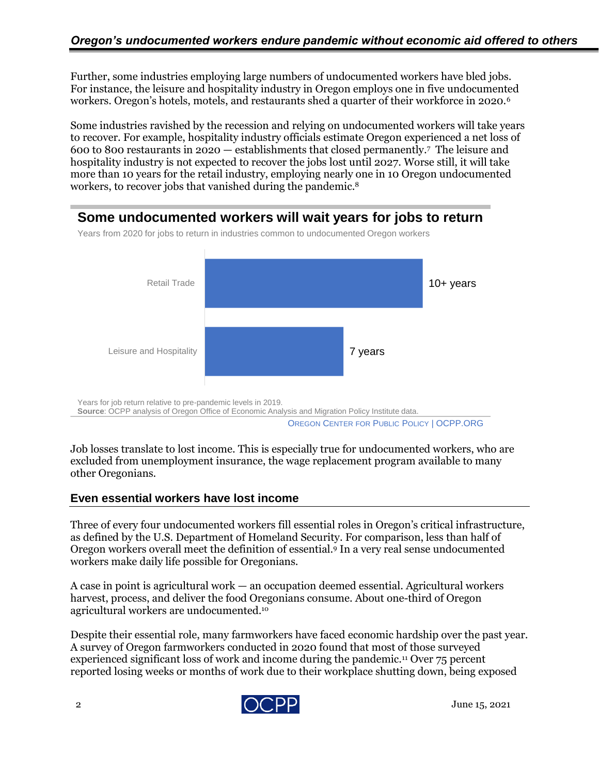Further, some industries employing large numbers of undocumented workers have bled jobs. For instance, the leisure and hospitality industry in Oregon employs one in five undocumented workers. Oregon's hotels, motels, and restaurants shed a quarter of their workforce in 2020.<sup>6</sup>

Some industries ravished by the recession and relying on undocumented workers will take years to recover. For example, hospitality industry officials estimate Oregon experienced a net loss of 600 to 800 restaurants in 2020 — establishments that closed permanently. <sup>7</sup> The leisure and hospitality industry is not expected to recover the jobs lost until 2027. Worse still, it will take more than 10 years for the retail industry, employing nearly one in 10 Oregon undocumented workers, to recover jobs that vanished during the pandemic. 8

# **Some undocumented workers will wait years for jobs to return**



Years from 2020 for jobs to return in industries common to undocumented Oregon workers

OREGON CENTER FOR PUBLIC POLICY | OCPP.ORG

Job losses translate to lost income. This is especially true for undocumented workers, who are excluded from unemployment insurance, the wage replacement program available to many other Oregonians.

## **Even essential workers have lost income**

Three of every four undocumented workers fill essential roles in Oregon's critical infrastructure, as defined by the U.S. Department of Homeland Security. For comparison, less than half of Oregon workers overall meet the definition of essential. <sup>9</sup> In a very real sense undocumented workers make daily life possible for Oregonians.

A case in point is agricultural work — an occupation deemed essential. Agricultural workers harvest, process, and deliver the food Oregonians consume. About one-third of Oregon agricultural workers are undocumented.<sup>10</sup>

Despite their essential role, many farmworkers have faced economic hardship over the past year. A survey of Oregon farmworkers conducted in 2020 found that most of those surveyed experienced significant loss of work and income during the pandemic.<sup>11</sup> Over 75 percent reported losing weeks or months of work due to their workplace shutting down, being exposed

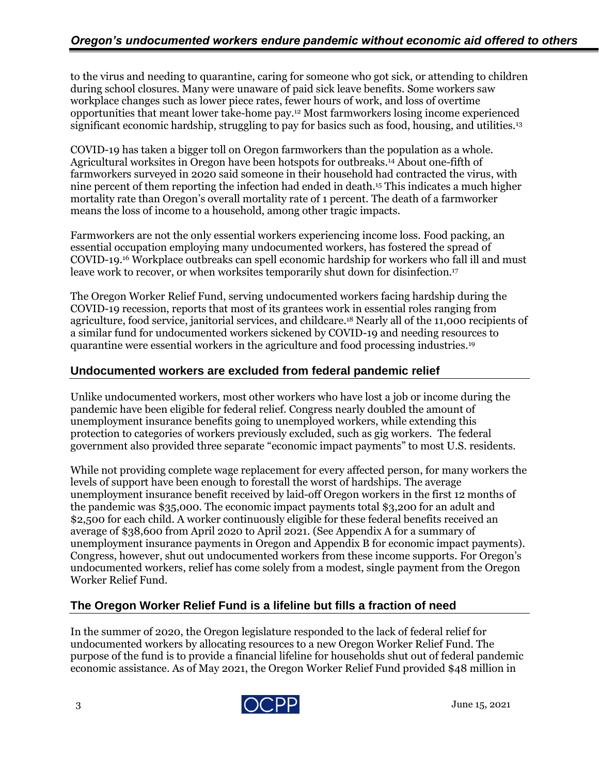to the virus and needing to quarantine, caring for someone who got sick, or attending to children during school closures. Many were unaware of paid sick leave benefits. Some workers saw workplace changes such as lower piece rates, fewer hours of work, and loss of overtime opportunities that meant lower take-home pay.<sup>12</sup> Most farmworkers losing income experienced significant economic hardship, struggling to pay for basics such as food, housing, and utilities.<sup>13</sup>

COVID-19 has taken a bigger toll on Oregon farmworkers than the population as a whole. Agricultural worksites in Oregon have been hotspots for outbreaks.<sup>14</sup> About one-fifth of farmworkers surveyed in 2020 said someone in their household had contracted the virus, with nine percent of them reporting the infection had ended in death.<sup>15</sup> This indicates a much higher mortality rate than Oregon's overall mortality rate of 1 percent. The death of a farmworker means the loss of income to a household, among other tragic impacts.

Farmworkers are not the only essential workers experiencing income loss. Food packing, an essential occupation employing many undocumented workers, has fostered the spread of COVID-19. <sup>16</sup> Workplace outbreaks can spell economic hardship for workers who fall ill and must leave work to recover, or when worksites temporarily shut down for disinfection. 17

The Oregon Worker Relief Fund, serving undocumented workers facing hardship during the COVID-19 recession, reports that most of its grantees work in essential roles ranging from agriculture, food service, janitorial services, and childcare.<sup>18</sup> Nearly all of the 11,000 recipients of a similar fund for undocumented workers sickened by COVID-19 and needing resources to quarantine were essential workers in the agriculture and food processing industries.<sup>19</sup>

#### **Undocumented workers are excluded from federal pandemic relief**

Unlike undocumented workers, most other workers who have lost a job or income during the pandemic have been eligible for federal relief. Congress nearly doubled the amount of unemployment insurance benefits going to unemployed workers, while extending this protection to categories of workers previously excluded, such as gig workers. The federal government also provided three separate "economic impact payments" to most U.S. residents.

While not providing complete wage replacement for every affected person, for many workers the levels of support have been enough to forestall the worst of hardships. The average unemployment insurance benefit received by laid-off Oregon workers in the first 12 months of the pandemic was \$35,000. The economic impact payments total \$3,200 for an adult and \$2,500 for each child. A worker continuously eligible for these federal benefits received an average of \$38,600 from April 2020 to April 2021. (See Appendix A for a summary of unemployment insurance payments in Oregon and Appendix B for economic impact payments). Congress, however, shut out undocumented workers from these income supports. For Oregon's undocumented workers, relief has come solely from a modest, single payment from the Oregon Worker Relief Fund.

## **The Oregon Worker Relief Fund is a lifeline but fills a fraction of need**

In the summer of 2020, the Oregon legislature responded to the lack of federal relief for undocumented workers by allocating resources to a new Oregon Worker Relief Fund. The purpose of the fund is to provide a financial lifeline for households shut out of federal pandemic economic assistance. As of May 2021, the Oregon Worker Relief Fund provided \$48 million in

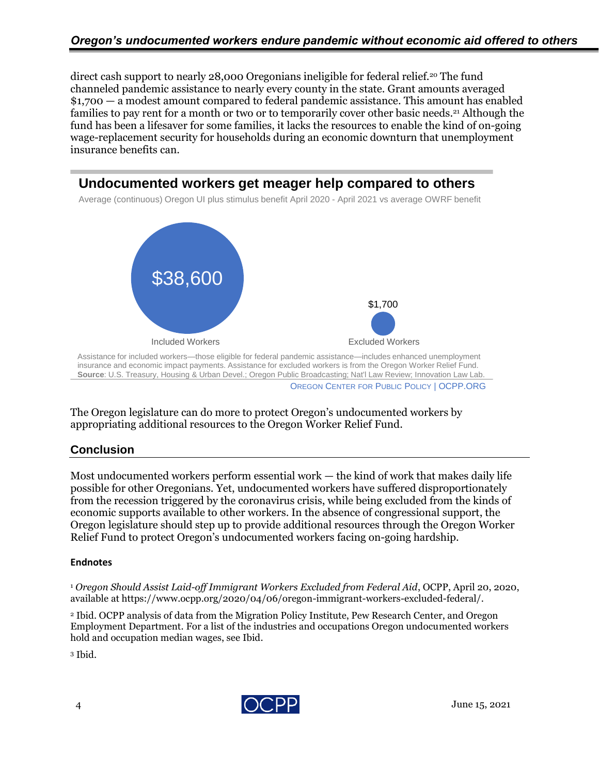direct cash support to nearly 28,000 Oregonians ineligible for federal relief.<sup>20</sup> The fund channeled pandemic assistance to nearly every county in the state. Grant amounts averaged \$1,700 — a modest amount compared to federal pandemic assistance. This amount has enabled families to pay rent for a month or two or to temporarily cover other basic needs.<sup>21</sup> Although the fund has been a lifesaver for some families, it lacks the resources to enable the kind of on-going wage-replacement security for households during an economic downturn that unemployment insurance benefits can.



The Oregon legislature can do more to protect Oregon's undocumented workers by appropriating additional resources to the Oregon Worker Relief Fund.

# **Conclusion**

Most undocumented workers perform essential work  $-$  the kind of work that makes daily life possible for other Oregonians. Yet, undocumented workers have suffered disproportionately from the recession triggered by the coronavirus crisis, while being excluded from the kinds of economic supports available to other workers. In the absence of congressional support, the Oregon legislature should step up to provide additional resources through the Oregon Worker Relief Fund to protect Oregon's undocumented workers facing on-going hardship.

#### **Endnotes**

<sup>1</sup> *Oregon Should Assist Laid-off Immigrant Workers Excluded from Federal Aid*, OCPP, April 20, 2020, available at https://www.ocpp.org/2020/04/06/oregon-immigrant-workers-excluded-federal/.

<sup>2</sup> Ibid. OCPP analysis of data from the Migration Policy Institute, Pew Research Center, and Oregon Employment Department. For a list of the industries and occupations Oregon undocumented workers hold and occupation median wages, see Ibid.

<sup>3</sup> Ibid.

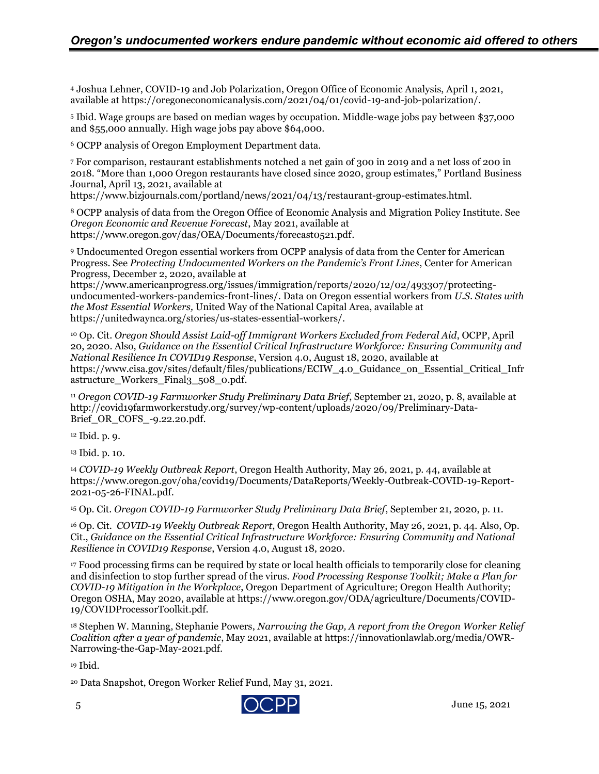<sup>4</sup> Joshua Lehner, COVID-19 and Job Polarization, Oregon Office of Economic Analysis, April 1, 2021, available at https://oregoneconomicanalysis.com/2021/04/01/covid-19-and-job-polarization/.

<sup>5</sup> Ibid. Wage groups are based on median wages by occupation. Middle-wage jobs pay between \$37,000 and \$55,000 annually. High wage jobs pay above \$64,000.

<sup>6</sup> OCPP analysis of Oregon Employment Department data.

<sup>7</sup> For comparison, restaurant establishments notched a net gain of 300 in 2019 and a net loss of 200 in 2018. "More than 1,000 Oregon restaurants have closed since 2020, group estimates," Portland Business Journal, April 13, 2021, available at

https://www.bizjournals.com/portland/news/2021/04/13/restaurant-group-estimates.html.

<sup>8</sup> OCPP analysis of data from the Oregon Office of Economic Analysis and Migration Policy Institute. See *Oregon Economic and Revenue Forecast*, May 2021, available at https://www.oregon.gov/das/OEA/Documents/forecast0521.pdf.

<sup>9</sup> Undocumented Oregon essential workers from OCPP analysis of data from the Center for American Progress. See *Protecting Undocumented Workers on the Pandemic's Front Lines*, Center for American Progress, December 2, 2020, available at

https://www.americanprogress.org/issues/immigration/reports/2020/12/02/493307/protectingundocumented-workers-pandemics-front-lines/. Data on Oregon essential workers from *U.S. States with the Most Essential Workers,* United Way of the National Capital Area, available at https://unitedwaynca.org/stories/us-states-essential-workers/.

<sup>10</sup> Op. Cit. *Oregon Should Assist Laid-off Immigrant Workers Excluded from Federal Aid*, OCPP, April 20, 2020. Also, *Guidance on the Essential Critical Infrastructure Workforce: Ensuring Community and National Resilience In COVID19 Response*, Version 4.0, August 18, 2020, available at https://www.cisa.gov/sites/default/files/publications/ECIW\_4.0\_Guidance\_on\_Essential\_Critical\_Infr astructure\_Workers\_Final3\_508\_0.pdf.

<sup>11</sup> *Oregon COVID-19 Farmworker Study Preliminary Data Brief*, September 21, 2020, p. 8, available at http://covid19farmworkerstudy.org/survey/wp-content/uploads/2020/09/Preliminary-Data-Brief\_OR\_COFS\_-9.22.20.pdf.

<sup>12</sup> Ibid. p. 9.

<sup>13</sup> Ibid. p. 10.

<sup>14</sup> *COVID-19 Weekly Outbreak Report*, Oregon Health Authority, May 26, 2021, p. 44, available at https://www.oregon.gov/oha/covid19/Documents/DataReports/Weekly-Outbreak-COVID-19-Report-2021-05-26-FINAL.pdf.

<sup>15</sup> Op. Cit. *Oregon COVID-19 Farmworker Study Preliminary Data Brief*, September 21, 2020, p. 11.

<sup>16</sup> Op. Cit. *COVID-19 Weekly Outbreak Report*, Oregon Health Authority, May 26, 2021, p. 44. Also, Op. Cit., *Guidance on the Essential Critical Infrastructure Workforce: Ensuring Community and National Resilience in COVID19 Response*, Version 4.0, August 18, 2020.

<sup>17</sup> Food processing firms can be required by state or local health officials to temporarily close for cleaning and disinfection to stop further spread of the virus. *Food Processing Response Toolkit; Make a Plan for COVID-19 Mitigation in the Workplace*, Oregon Department of Agriculture; Oregon Health Authority; Oregon OSHA, May 2020, available at https://www.oregon.gov/ODA/agriculture/Documents/COVID-19/COVIDProcessorToolkit.pdf.

<sup>18</sup> Stephen W. Manning, Stephanie Powers, *Narrowing the Gap, A report from the Oregon Worker Relief Coalition after a year of pandemic*, May 2021, available at https://innovationlawlab.org/media/OWR-Narrowing-the-Gap-May-2021.pdf.

<sup>19</sup> Ibid.

<sup>20</sup> Data Snapshot, Oregon Worker Relief Fund, May 31, 2021.